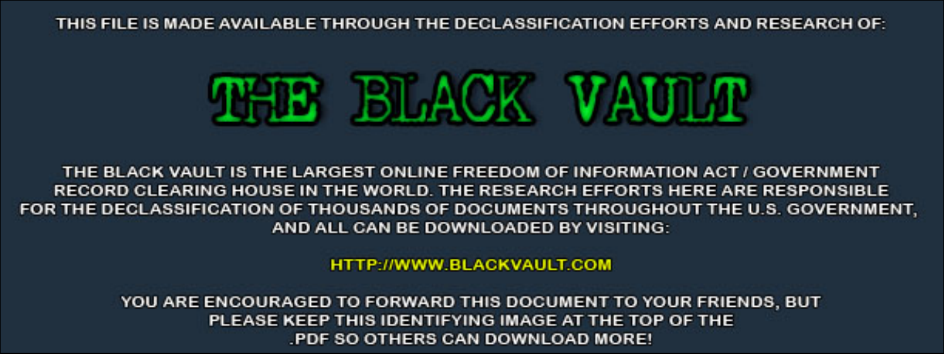THIS FILE IS MADE AVAILABLE THROUGH THE DECLASSIFICATION EFFORTS AND RESEARCH OF:



THE BLACK VAULT IS THE LARGEST ONLINE FREEDOM OF INFORMATION ACT / GOVERNMENT RECORD CLEARING HOUSE IN THE WORLD. THE RESEARCH EFFORTS HERE ARE RESPONSIBLE FOR THE DECLASSIFICATION OF THOUSANDS OF DOCUMENTS THROUGHOUT THE U.S. GOVERNMENT, AND ALL CAN BE DOWNLOADED BY VISITING:

**HTTP://WWW.BLACKVAULT.COM** 

YOU ARE ENCOURAGED TO FORWARD THIS DOCUMENT TO YOUR FRIENDS, BUT PLEASE KEEP THIS IDENTIFYING IMAGE AT THE TOP OF THE PDF SO OTHERS CAN DOWNLOAD MORE!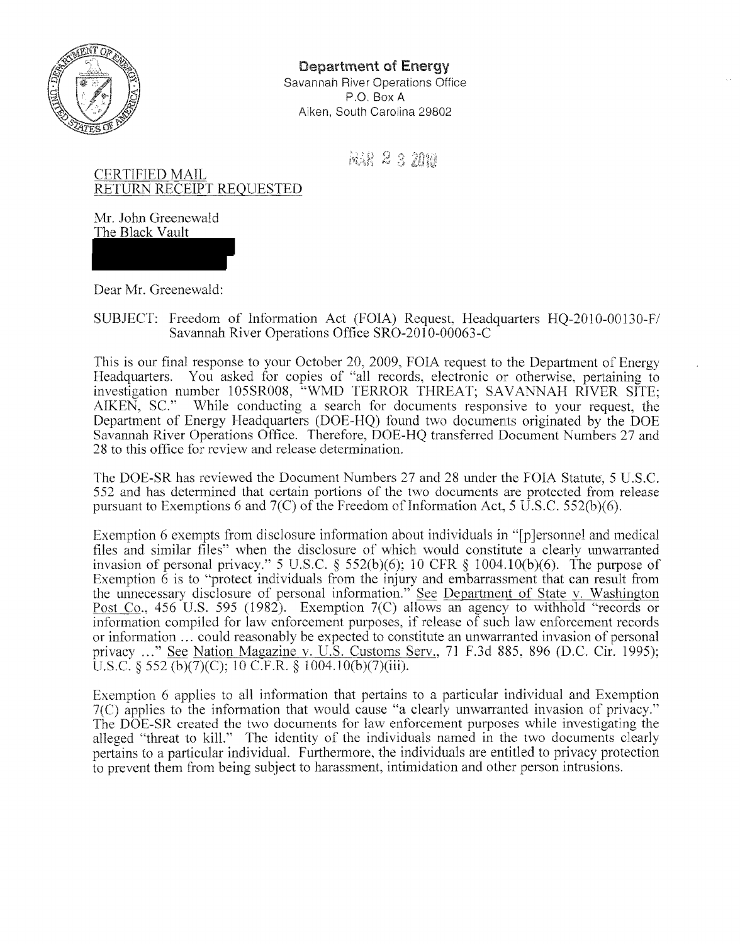

Department of Energy Savannah River Operations Office P.O. Box A Aiken, South Carolina 29802

A&R 2 3 2000

CERTIFIED MAIL RETURN RECEIPT REQUESTED

Mr. John Greenewald The Black Vault

Dear Mr. Greenewald:

SUBJECT: Freedom of Information Act (FOIA) Request, Headquarters HQ-2010-00130-Fl Savannah River Operations Office SRO-20I0-00063-C

This is our final response to your October 20, 2009, FOIA request to the Department of Energy Headquarters. You asked for copies of "all records, electronic or otherwise, pertaining to investigation number 105SR008, "WMD TERROR THREAT; SAV ANNAH RIVER SITE; AIKEN, SC.'· While conducting a search for documents responsive to your request, the Department of Energy Headquarters (DOE-HQ) found two documents originated by the DOE Savannah River Operations Office. Therefore, DOE-HQ transferred Document Numbers 27 and 28 to this office for review and release determination.

The DOE-SR has reviewed the Document Numbers 27 and 28 under the FOIA Statute, 5 U.S.C. 552 and has determined that certain portions of the two documents are protected from release pursuant to Exemptions 6 and  $7(C)$  of the Freedom of Information Act, 5 U.S.C. 552(b)(6).

Exemption 6 exempts from disclosure information about individuals in "[p]ersonnel and medical files and similar files" when the disclosure of which would constitute a clearly unwarranted invasion of personal privacy." 5 U.S.C. § 552(b)(6); 10 CFR § 1004.10(b)(6). The purpose of Exemption  $\hat{6}$  is to "protect individuals from the injury and embarrassment that can result from the unnecessary disclosure of personal information." See Department of State v. Washington Post Co., 456 U.S. 595 (1982). Exemption 7(C) allows an agency to withhold "records or information compiled for law enforcement purposes, if release of such law enforcement records or information ... could reasonably be expected to constitute an unwarranted invasion of personal privacy ... " See Nation Magazine v. U.S. Customs Serv., 71 F.3d 885, 896 (D.C. Cir. 1995); U.S.C.  $\frac{552 \text{ (b)}}{7}$ (C); 10 C.F.R.  $\frac{51004.10(b)}{7}$ (iii).

Exemption 6 applies to all information that pertains to a particular individual and Exemption  $7(C)$  applies to the information that would cause "a clearly unwarranted invasion of privacy." The DOE-SR created the two documents for law enforcement purposes while investigating the alleged "threat to kill." The identity of the individuals named in the two documents clearly pertains to a particular individual. Furthermore, the individuals are entitled to privacy protection to prevent them from being subject to harassment, intimidation and other person intrusions.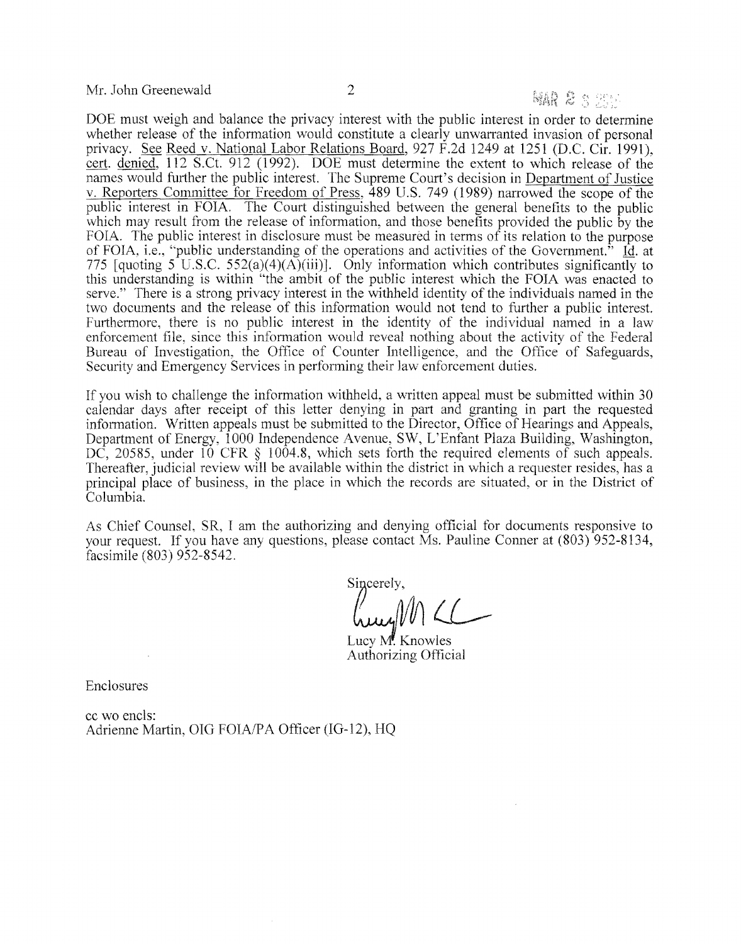Mr. John Greenewald 2

### MAR & S Star

DOE must weigh and balance the privacy interest with the public interest in order to determine whether release of the information would constitute a clearly unwarranted invasion of personal privacy. See Reed v. National Labor Relations Board,  $927 \text{ F}$ .2d  $1249$  at  $1251$  (D.C. Cir. 1991), cert. denied, 112 S.Ct. 912 (1992). DOE must determine the extent to which release of the names would further the public interest. The Supreme Court's decision in Department of Justice v. Reporters Committee for Freedom of Press, 489 U.S. 749 (1989) nanowed the scope of the public interest in FOIA. The Court distinguished between the general benefits to the public which may result from the release of information, and those benefits provided the public by the FOIA. The public interest in disclosure must be measured in terms of its relation to the purpose of FOIA, i.e., "public understanding of the operations and activities of the Government." Id. at 775 [quoting 5 U.S.C. 552(a)(4)(A)(iii)]. Only information which contributes significantly to this understanding is within "the ambit of the public interest which the FOlA was enacted to serve." There is a strong privacy interest in the withheld identity of the individuals named in the two documents and the release of this infonnation would not tend to further a public interest. Furthermore, there is no public interest in the identity of the individual named in a law enforcement file, since this information would reveal nothing about the activity of the Federal Bureau of Investigation, the Office of Counter Intelligence, and the Office of Safeguards, Security and Emergency Services in performing their law enforcement duties.

If you wish to challenge the information withheld, a written appeal must be submitted within 30 calendar days after receipt of this letter denying in part and granting in part the requested information. Written appeals must be submitted to the Director, Office of Hearings and Appeals, Department of Energy, 1000 Independence Avenue, SW, L'Enfant Plaza Building, Washington, DC, 20585, under 10 CFR § 1004.8, which sets forth the required elements of such appeals. Thereafter, judicial review will be available within the district in which a requester resides, has a principal place of business, in the place in which the records are situated, or in the District of Columbia.

As Chief Counsel, SR, I am the authorizing and denying official for documents responsive to your request. If you have any questions, please contact Ms. Pauline Conner at (803) 952-8134, facsimile (803) 952-8542.

Sincerely,

hught LL

Lucy M. Knowles Authorizing Official

Enclosures

cc wo encIs: Adrienne Martin, OIG FOIA/PA Officer (IG-12), HQ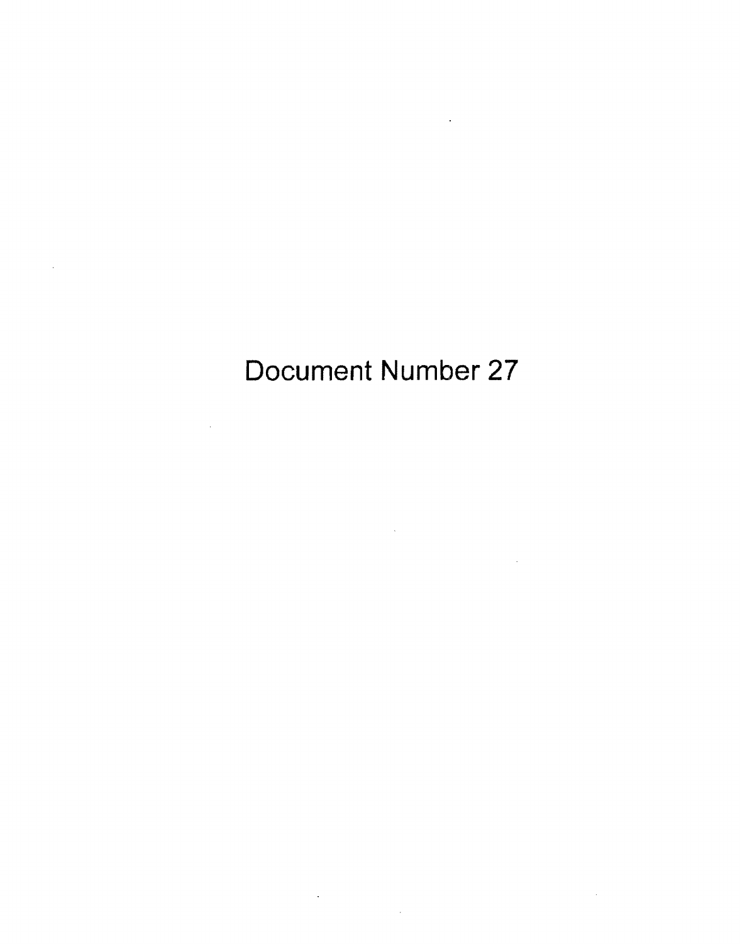# Document Number 27

 $\mathcal{L}^{\text{max}}_{\text{max}}$  ,  $\mathcal{L}^{\text{max}}_{\text{max}}$ 

 $\bar{\mathcal{A}}$ 

 $\mathcal{A}^{\mathcal{A}}$ 

 $\label{eq:2.1} \frac{1}{\sqrt{2}}\int_{\mathbb{R}^3}\frac{1}{\sqrt{2}}\left(\frac{1}{\sqrt{2}}\right)^2\frac{1}{\sqrt{2}}\left(\frac{1}{\sqrt{2}}\right)^2\frac{1}{\sqrt{2}}\left(\frac{1}{\sqrt{2}}\right)^2\frac{1}{\sqrt{2}}\left(\frac{1}{\sqrt{2}}\right)^2.$ 

 $\sim 10^{11}$ 

 $\bar{\beta}$ 

and the state of the state of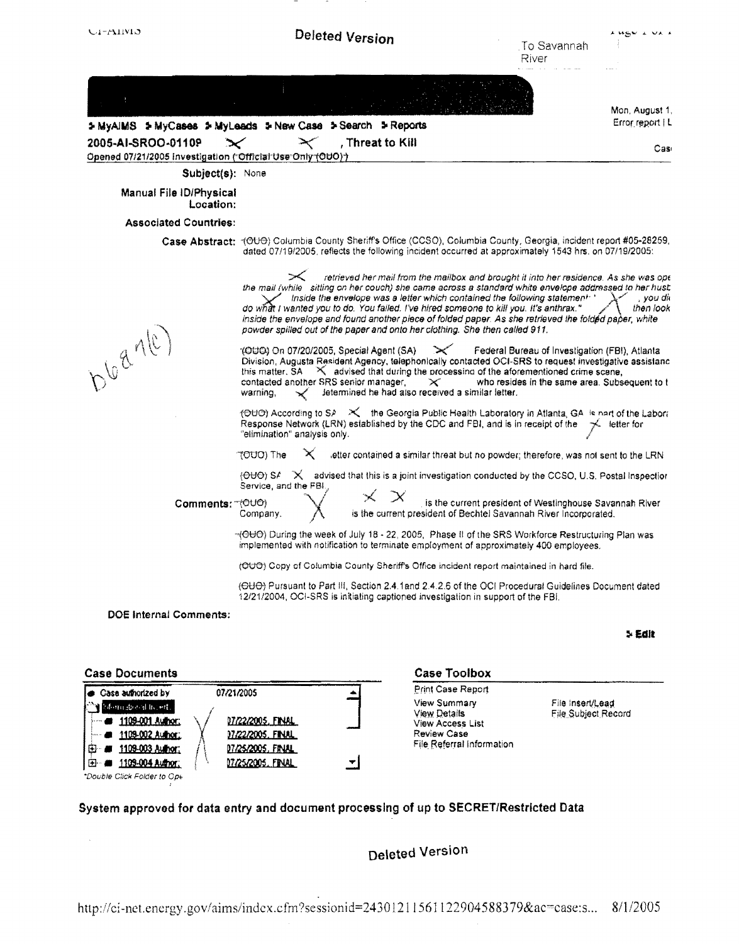| $C1-T11M5$                                                                                                                                     |                                      |                                                                                                              | <b>Deleted Version</b> |                                                                                                                                                                                                                                                                                                                                                                                                                                                                                                                                                                 | . To Savannah<br>River                                                                          | A HEW A VA A           |
|------------------------------------------------------------------------------------------------------------------------------------------------|--------------------------------------|--------------------------------------------------------------------------------------------------------------|------------------------|-----------------------------------------------------------------------------------------------------------------------------------------------------------------------------------------------------------------------------------------------------------------------------------------------------------------------------------------------------------------------------------------------------------------------------------------------------------------------------------------------------------------------------------------------------------------|-------------------------------------------------------------------------------------------------|------------------------|
|                                                                                                                                                |                                      |                                                                                                              |                        |                                                                                                                                                                                                                                                                                                                                                                                                                                                                                                                                                                 |                                                                                                 | Mon, August 1,         |
|                                                                                                                                                |                                      | > MyAIMS > MyCases > MyLeads > New Case > Search > Reports                                                   |                        |                                                                                                                                                                                                                                                                                                                                                                                                                                                                                                                                                                 |                                                                                                 | Error report   L       |
| 2005-AI-SROO-01109                                                                                                                             |                                      |                                                                                                              | , Threat to Kill       |                                                                                                                                                                                                                                                                                                                                                                                                                                                                                                                                                                 |                                                                                                 | Cas                    |
|                                                                                                                                                | Subject(s): None                     | Opened 07/21/2005 Investigation ("Official Use Only (OUO) )                                                  |                        |                                                                                                                                                                                                                                                                                                                                                                                                                                                                                                                                                                 |                                                                                                 |                        |
|                                                                                                                                                | Manual File ID/Physical<br>Location: |                                                                                                              |                        |                                                                                                                                                                                                                                                                                                                                                                                                                                                                                                                                                                 |                                                                                                 |                        |
|                                                                                                                                                | <b>Associated Countries:</b>         |                                                                                                              |                        |                                                                                                                                                                                                                                                                                                                                                                                                                                                                                                                                                                 |                                                                                                 |                        |
|                                                                                                                                                |                                      |                                                                                                              |                        | Case Abstract: < OUO) Columbia County Sheriff's Office (CCSO), Columbia County, Georgia, incident report #05-28259,<br>dated 07/19/2005, reflects the following incident occurred at approximately 1543 hrs. on 07/19/2005:                                                                                                                                                                                                                                                                                                                                     |                                                                                                 |                        |
|                                                                                                                                                |                                      | $\times$                                                                                                     |                        | retrieved her mail from the mailbox and brought it into her residence. As she was ope<br>the mail (while sitting on her couch) she came across a standard white envelope addressed to her hust<br>Inside the envelope was a letter which contained the following statement: '<br>do what I wanted you to do. You failed. I've hired someone to kill you. It's anthrax."<br>inside the envelope and found another piece of folded paper. As she retrieved the folded paper, white<br>powder spilled out of the paper and onto her clothing. She then called 911, |                                                                                                 | , you dii<br>then look |
| bloante,                                                                                                                                       |                                      | 1000) On 07/20/2005, Special Agent (SA)<br>contacted another SRS senior manager,<br>warning,<br>$\checkmark$ |                        | $\mathbb{R}^n$<br>Division, Augusta Resident Agency, telephonically contacted OCI-SRS to request investigative assistanc<br>this matter, $SA = X$ advised that during the processing of the aforementioned crime scene,<br>$\times$<br>letermined he had also received a similar letter.                                                                                                                                                                                                                                                                        | Federal Bureau of Investigation (FBI), Atlanta<br>who resides in the same area. Subsequent to t |                        |
|                                                                                                                                                |                                      | "elimination" analysis only.                                                                                 |                        | (OUO) According to SP X the Georgia Public Health Laboratory in Atlanta, GA is nart of the Labora<br>Response Network (LRN) established by the CDC and FBI, and is in receipt of the $\preceq$ letter for                                                                                                                                                                                                                                                                                                                                                       |                                                                                                 |                        |
|                                                                                                                                                |                                      | <b>TOUD) The</b><br>x                                                                                        |                        | letter contained a similar threat but no powder; therefore, was not sent to the LRN                                                                                                                                                                                                                                                                                                                                                                                                                                                                             |                                                                                                 |                        |
|                                                                                                                                                |                                      | Service, and the FBI.                                                                                        |                        | $(\Theta \Theta)$ SA $\mathbb{R}$ advised that this is a joint investigation conducted by the CCSO, U.S. Postal Inspection                                                                                                                                                                                                                                                                                                                                                                                                                                      |                                                                                                 |                        |
|                                                                                                                                                | Comments: (OUO)                      | Company.                                                                                                     |                        | $X$ is the current president of Westinghouse Savannah River<br>is the current president of Bechtel Savannah River Incorporated.                                                                                                                                                                                                                                                                                                                                                                                                                                 |                                                                                                 |                        |
|                                                                                                                                                |                                      |                                                                                                              |                        | $\neg$ (OUO) During the week of July 18 - 22, 2005. Phase II of the SRS Workforce Restructuring Plan was<br>implemented with notification to terminate employment of approximately 400 employees.                                                                                                                                                                                                                                                                                                                                                               |                                                                                                 |                        |
|                                                                                                                                                |                                      |                                                                                                              |                        | (OUO) Copy of Columbia County Sheriff's Office incident report maintained in hard file.                                                                                                                                                                                                                                                                                                                                                                                                                                                                         |                                                                                                 |                        |
|                                                                                                                                                |                                      |                                                                                                              |                        | (OUO) Pursuant to Part III, Section 2.4.1 and 2.4.2.6 of the OCI Procedural Guidelines Document dated<br>12/21/2004, OCI-SRS is initiating captioned investigation in support of the FBI.                                                                                                                                                                                                                                                                                                                                                                       |                                                                                                 |                        |
|                                                                                                                                                | <b>DOE Internal Comments:</b>        |                                                                                                              |                        |                                                                                                                                                                                                                                                                                                                                                                                                                                                                                                                                                                 |                                                                                                 | ≯ Editi                |
| <b>Case Documents</b>                                                                                                                          |                                      |                                                                                                              |                        | <b>Case Toolbox</b>                                                                                                                                                                                                                                                                                                                                                                                                                                                                                                                                             |                                                                                                 |                        |
| <b>● Case authorized by</b><br>storiu dreval licent.<br>1109-001 Author:<br>1109-002 Author:<br>1109-003 Author:<br>ш<br>1109-004 Author:<br>Ш |                                      | 07/21/2005<br>07/22/2005, FINAL<br>07/22/2005. FINAL<br>07/25/2005. FINAL<br>07/25/2005. FINAL               |                        | Print Case Report<br>View Summary<br><b>View Details</b><br><b>View Access List</b><br><b>Review Case</b><br>File Referral Information                                                                                                                                                                                                                                                                                                                                                                                                                          | File insert/Lead<br>File Subject Record                                                         |                        |
| *Double Click Folder to Op6                                                                                                                    |                                      |                                                                                                              |                        | System approved for data entry and document processing of up to SECRET/Restricted Data                                                                                                                                                                                                                                                                                                                                                                                                                                                                          |                                                                                                 |                        |
|                                                                                                                                                |                                      |                                                                                                              |                        |                                                                                                                                                                                                                                                                                                                                                                                                                                                                                                                                                                 |                                                                                                 |                        |
|                                                                                                                                                |                                      |                                                                                                              |                        | <b>Deleted Version</b>                                                                                                                                                                                                                                                                                                                                                                                                                                                                                                                                          |                                                                                                 |                        |

 $\overline{\phantom{a}}$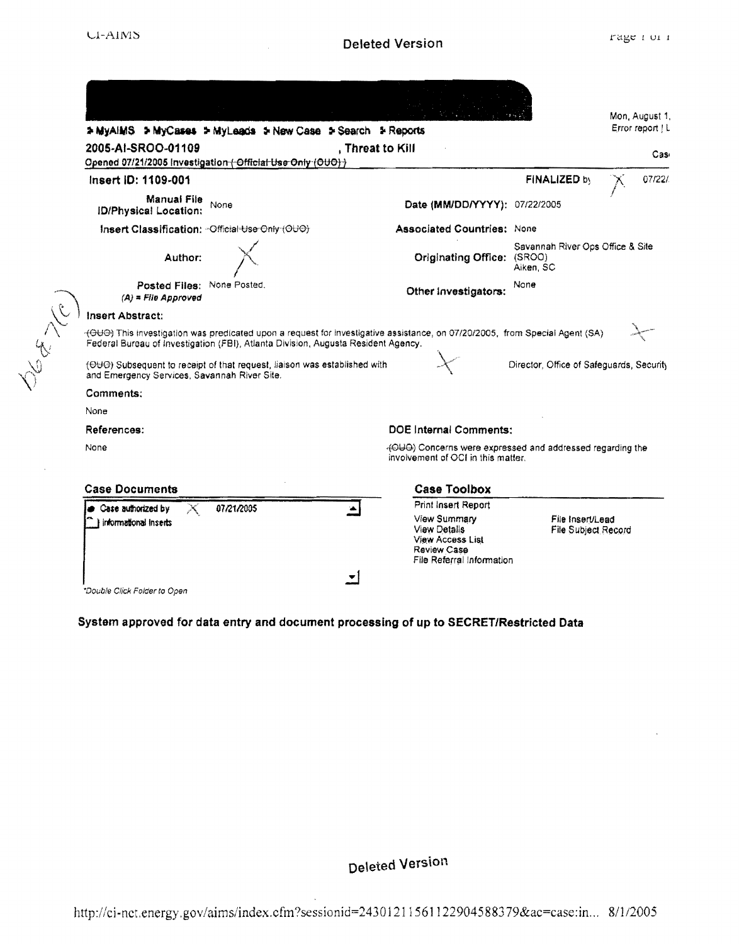| > MyAIMS > MyCases > MyLeads > New Case > Search > Reports                                                                |                                                                                                                             | Mon, August 1,<br>Error report   L             |
|---------------------------------------------------------------------------------------------------------------------------|-----------------------------------------------------------------------------------------------------------------------------|------------------------------------------------|
| 2005-AI-SROO-01109<br>Opened 07/21/2005 Investigation (-Official Use Only (OUO) }                                         | , Threat to Kill                                                                                                            | Cas <sub>i</sub>                               |
| Insert ID: 1109-001                                                                                                       |                                                                                                                             | FINALIZED by<br>07/22/                         |
| Manual File<br>None<br><b>ID/Physical Location:</b>                                                                       | Date (MM/DD/YYYY): 07/22/2005                                                                                               |                                                |
| Insert Classification: - Official Use Only (OUO)                                                                          | <b>Associated Countries: None</b>                                                                                           |                                                |
| Author:                                                                                                                   | Originating Office: (SROO)                                                                                                  | Savannah River Ops Office & Site<br>Aiken, SC  |
| Posted Files: None Posted.<br>$(A)$ = File Approved                                                                       | Other Investigators:                                                                                                        | None                                           |
| Insert Abstract:                                                                                                          |                                                                                                                             |                                                |
| Federal Bureau of Investigation (FBI), Atlanta Division, Augusta Resident Agency.                                         | (OUO) This investigation was predicated upon a request for investigative assistance, on 07/20/2005, from Special Agent (SA) |                                                |
| (OUO) Subsequent to receipt of that request, liaison was established with<br>and Emergency Services, Savannah River Site. |                                                                                                                             | Director, Office of Safeguards, Security       |
| Comments:                                                                                                                 |                                                                                                                             |                                                |
| None                                                                                                                      |                                                                                                                             |                                                |
| References:                                                                                                               | DOE Internal Comments:                                                                                                      |                                                |
| None                                                                                                                      | (OUO) Concerns were expressed and addressed regarding the<br>involvement of OCI in this matter.                             |                                                |
| <b>Case Documents</b>                                                                                                     | <b>Case Toolbox</b>                                                                                                         |                                                |
| 07/21/2005<br>Case authorized by<br>informational inserts                                                                 | Print Insert Report<br>View Summary<br><b>View Details</b><br><b>View Access List</b>                                       | File Insert/Lead<br><b>File Subject Record</b> |

### System approved for data entry and document processing of up to SECRET/Restricted Data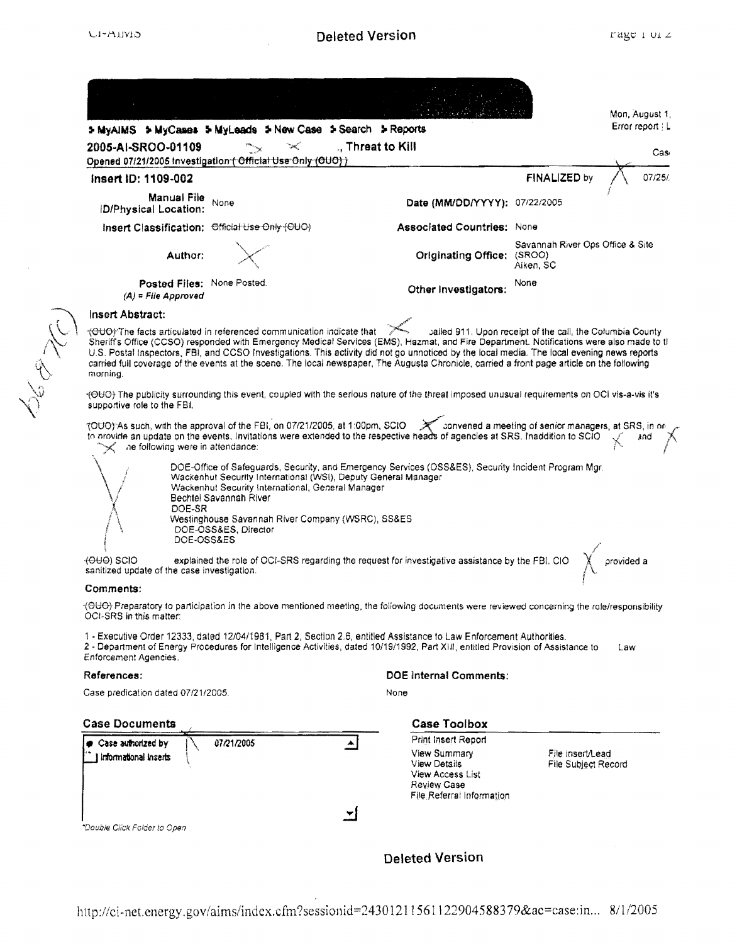| Error report $ L $<br>5 MyAIMS > MyCases > MyLeads > New Case > Search > Reports<br>., Threat to Kill<br>2005-AI-SROO-01109<br>Cas<br>Opened 07/21/2005 Investigation ( Official Use Only (OUO) )<br>FINALIZED by<br>07/25/<br>insert ID: 1109-002<br>Manual File<br>None<br>Date (MM/DD/YYYY): 07/22/2005<br><b>ID/Physical Location:</b><br>Insert Classification: Official Use Only (OUO)<br><b>Associated Countries: None</b><br>Savannah River Ops Office & Site<br>Author:<br>Originating Office: (SROO)<br>Aiken, SC<br>Posted Files: None Posted.<br>None<br>Other Investigators:<br>$(A)$ = File Approved<br>Insert Abstract:<br>rOUO) The facts articulated in referenced communication indicate that<br>sailed 911. Upon receipt of the call, the Columbia County<br>Sheriff's Office (CCSO) responded with Emergency Medical Services (EMS), Hazmat, and Fire Department. Notifications were also made to th<br>U.S. Postal Inspectors, FBI, and CCSO Investigations. This activity did not go unnoticed by the local media. The local evening news reports<br>carried full coverage of the events at the scene. The local newspaper, The Augusta Chronicle, carried a front page article on the following<br>morning.<br>(OUC) The publicity surrounding this event, coupled with the serious nature of the threat imposed unusual requirements on OCI vis-a-vis it's<br>supportive role to the FBI.<br>TOUO) As such, with the approval of the FBI, on 07/21/2005, at 1:00pm, SCIO > strategy convened a meeting of senior managers, at SRS, in or<br>to provide an update on the events. Invitations were extended to the respective heads of agencies at SRS. Inaddition to SCIO<br>snd<br>he following were in attendance.<br>DOE-Office of Safeguards, Security, and Emergency Services (OSS&ES), Security Incident Program Mgr.<br>Wackenhut Security International (WSI), Deputy General Manager<br>Wackenhut Security International, General Manager<br>Bechtel Savannah River<br>DOE-SR<br>Westinghouse Savannah River Company (WSRC), SS&ES<br>DOE-OSS&ES, Director<br>DOE-OSS&ES<br>explained the role of OCI-SRS regarding the request for investigative assistance by the FBI. CIO<br>provided a<br>$+0 +0$ $+0$ $+0$ $+0$ $+0$ $+0$ $+0$ $+0$ $+0$ $+0$ $+0$<br>sanitized update of the case investigation.<br>Comments:<br>(OUO) Preparatory to participation in the above mentioned meeting, the following documents were reviewed concerning the role/responsibility<br>OCI-SRS in this matter:<br>1 - Executive Order 12333, dated 12/04/1981, Part 2, Section 2.6, entitled Assistance to Law Enforcement Authorities.<br>2 - Department of Energy Procedures for Intelligence Activities, dated 10/19/1992, Part XIII, entitled Provision of Assistance to<br>Law<br><b>Enforcement Agencies.</b><br><b>DOE Internal Comments:</b><br>References:<br>Gase predication dated 07/21/2005.<br>None<br><b>Case Toolbox</b><br><b>Case Documents</b><br><b>Print Insert Report</b><br>07/21/2005<br>Case authorized by<br>View Summary<br>File insert/Lead<br>informational inserts<br><b>View Details</b><br>File Subject Record<br><b>View Access List</b><br>Review Case<br>File Referral Information<br>*Dauble Click Folder to Open | Mon, August 1, |
|----------------------------------------------------------------------------------------------------------------------------------------------------------------------------------------------------------------------------------------------------------------------------------------------------------------------------------------------------------------------------------------------------------------------------------------------------------------------------------------------------------------------------------------------------------------------------------------------------------------------------------------------------------------------------------------------------------------------------------------------------------------------------------------------------------------------------------------------------------------------------------------------------------------------------------------------------------------------------------------------------------------------------------------------------------------------------------------------------------------------------------------------------------------------------------------------------------------------------------------------------------------------------------------------------------------------------------------------------------------------------------------------------------------------------------------------------------------------------------------------------------------------------------------------------------------------------------------------------------------------------------------------------------------------------------------------------------------------------------------------------------------------------------------------------------------------------------------------------------------------------------------------------------------------------------------------------------------------------------------------------------------------------------------------------------------------------------------------------------------------------------------------------------------------------------------------------------------------------------------------------------------------------------------------------------------------------------------------------------------------------------------------------------------------------------------------------------------------------------------------------------------------------------------------------------------------------------------------------------------------------------------------------------------------------------------------------------------------------------------------------------------------------------------------------------------------------------------------------------------------------------------------------------------------------------------------------------------------------------------------------------------------------------------------------------------------------------------------------------------------------------------------------------------------------------------------------------------------------------------------------------------------|----------------|
|                                                                                                                                                                                                                                                                                                                                                                                                                                                                                                                                                                                                                                                                                                                                                                                                                                                                                                                                                                                                                                                                                                                                                                                                                                                                                                                                                                                                                                                                                                                                                                                                                                                                                                                                                                                                                                                                                                                                                                                                                                                                                                                                                                                                                                                                                                                                                                                                                                                                                                                                                                                                                                                                                                                                                                                                                                                                                                                                                                                                                                                                                                                                                                                                                                                                      |                |
|                                                                                                                                                                                                                                                                                                                                                                                                                                                                                                                                                                                                                                                                                                                                                                                                                                                                                                                                                                                                                                                                                                                                                                                                                                                                                                                                                                                                                                                                                                                                                                                                                                                                                                                                                                                                                                                                                                                                                                                                                                                                                                                                                                                                                                                                                                                                                                                                                                                                                                                                                                                                                                                                                                                                                                                                                                                                                                                                                                                                                                                                                                                                                                                                                                                                      |                |
|                                                                                                                                                                                                                                                                                                                                                                                                                                                                                                                                                                                                                                                                                                                                                                                                                                                                                                                                                                                                                                                                                                                                                                                                                                                                                                                                                                                                                                                                                                                                                                                                                                                                                                                                                                                                                                                                                                                                                                                                                                                                                                                                                                                                                                                                                                                                                                                                                                                                                                                                                                                                                                                                                                                                                                                                                                                                                                                                                                                                                                                                                                                                                                                                                                                                      |                |
|                                                                                                                                                                                                                                                                                                                                                                                                                                                                                                                                                                                                                                                                                                                                                                                                                                                                                                                                                                                                                                                                                                                                                                                                                                                                                                                                                                                                                                                                                                                                                                                                                                                                                                                                                                                                                                                                                                                                                                                                                                                                                                                                                                                                                                                                                                                                                                                                                                                                                                                                                                                                                                                                                                                                                                                                                                                                                                                                                                                                                                                                                                                                                                                                                                                                      |                |
|                                                                                                                                                                                                                                                                                                                                                                                                                                                                                                                                                                                                                                                                                                                                                                                                                                                                                                                                                                                                                                                                                                                                                                                                                                                                                                                                                                                                                                                                                                                                                                                                                                                                                                                                                                                                                                                                                                                                                                                                                                                                                                                                                                                                                                                                                                                                                                                                                                                                                                                                                                                                                                                                                                                                                                                                                                                                                                                                                                                                                                                                                                                                                                                                                                                                      |                |
|                                                                                                                                                                                                                                                                                                                                                                                                                                                                                                                                                                                                                                                                                                                                                                                                                                                                                                                                                                                                                                                                                                                                                                                                                                                                                                                                                                                                                                                                                                                                                                                                                                                                                                                                                                                                                                                                                                                                                                                                                                                                                                                                                                                                                                                                                                                                                                                                                                                                                                                                                                                                                                                                                                                                                                                                                                                                                                                                                                                                                                                                                                                                                                                                                                                                      |                |
|                                                                                                                                                                                                                                                                                                                                                                                                                                                                                                                                                                                                                                                                                                                                                                                                                                                                                                                                                                                                                                                                                                                                                                                                                                                                                                                                                                                                                                                                                                                                                                                                                                                                                                                                                                                                                                                                                                                                                                                                                                                                                                                                                                                                                                                                                                                                                                                                                                                                                                                                                                                                                                                                                                                                                                                                                                                                                                                                                                                                                                                                                                                                                                                                                                                                      |                |
|                                                                                                                                                                                                                                                                                                                                                                                                                                                                                                                                                                                                                                                                                                                                                                                                                                                                                                                                                                                                                                                                                                                                                                                                                                                                                                                                                                                                                                                                                                                                                                                                                                                                                                                                                                                                                                                                                                                                                                                                                                                                                                                                                                                                                                                                                                                                                                                                                                                                                                                                                                                                                                                                                                                                                                                                                                                                                                                                                                                                                                                                                                                                                                                                                                                                      |                |
|                                                                                                                                                                                                                                                                                                                                                                                                                                                                                                                                                                                                                                                                                                                                                                                                                                                                                                                                                                                                                                                                                                                                                                                                                                                                                                                                                                                                                                                                                                                                                                                                                                                                                                                                                                                                                                                                                                                                                                                                                                                                                                                                                                                                                                                                                                                                                                                                                                                                                                                                                                                                                                                                                                                                                                                                                                                                                                                                                                                                                                                                                                                                                                                                                                                                      |                |
|                                                                                                                                                                                                                                                                                                                                                                                                                                                                                                                                                                                                                                                                                                                                                                                                                                                                                                                                                                                                                                                                                                                                                                                                                                                                                                                                                                                                                                                                                                                                                                                                                                                                                                                                                                                                                                                                                                                                                                                                                                                                                                                                                                                                                                                                                                                                                                                                                                                                                                                                                                                                                                                                                                                                                                                                                                                                                                                                                                                                                                                                                                                                                                                                                                                                      |                |
|                                                                                                                                                                                                                                                                                                                                                                                                                                                                                                                                                                                                                                                                                                                                                                                                                                                                                                                                                                                                                                                                                                                                                                                                                                                                                                                                                                                                                                                                                                                                                                                                                                                                                                                                                                                                                                                                                                                                                                                                                                                                                                                                                                                                                                                                                                                                                                                                                                                                                                                                                                                                                                                                                                                                                                                                                                                                                                                                                                                                                                                                                                                                                                                                                                                                      |                |
|                                                                                                                                                                                                                                                                                                                                                                                                                                                                                                                                                                                                                                                                                                                                                                                                                                                                                                                                                                                                                                                                                                                                                                                                                                                                                                                                                                                                                                                                                                                                                                                                                                                                                                                                                                                                                                                                                                                                                                                                                                                                                                                                                                                                                                                                                                                                                                                                                                                                                                                                                                                                                                                                                                                                                                                                                                                                                                                                                                                                                                                                                                                                                                                                                                                                      |                |
|                                                                                                                                                                                                                                                                                                                                                                                                                                                                                                                                                                                                                                                                                                                                                                                                                                                                                                                                                                                                                                                                                                                                                                                                                                                                                                                                                                                                                                                                                                                                                                                                                                                                                                                                                                                                                                                                                                                                                                                                                                                                                                                                                                                                                                                                                                                                                                                                                                                                                                                                                                                                                                                                                                                                                                                                                                                                                                                                                                                                                                                                                                                                                                                                                                                                      |                |
|                                                                                                                                                                                                                                                                                                                                                                                                                                                                                                                                                                                                                                                                                                                                                                                                                                                                                                                                                                                                                                                                                                                                                                                                                                                                                                                                                                                                                                                                                                                                                                                                                                                                                                                                                                                                                                                                                                                                                                                                                                                                                                                                                                                                                                                                                                                                                                                                                                                                                                                                                                                                                                                                                                                                                                                                                                                                                                                                                                                                                                                                                                                                                                                                                                                                      |                |
|                                                                                                                                                                                                                                                                                                                                                                                                                                                                                                                                                                                                                                                                                                                                                                                                                                                                                                                                                                                                                                                                                                                                                                                                                                                                                                                                                                                                                                                                                                                                                                                                                                                                                                                                                                                                                                                                                                                                                                                                                                                                                                                                                                                                                                                                                                                                                                                                                                                                                                                                                                                                                                                                                                                                                                                                                                                                                                                                                                                                                                                                                                                                                                                                                                                                      |                |
|                                                                                                                                                                                                                                                                                                                                                                                                                                                                                                                                                                                                                                                                                                                                                                                                                                                                                                                                                                                                                                                                                                                                                                                                                                                                                                                                                                                                                                                                                                                                                                                                                                                                                                                                                                                                                                                                                                                                                                                                                                                                                                                                                                                                                                                                                                                                                                                                                                                                                                                                                                                                                                                                                                                                                                                                                                                                                                                                                                                                                                                                                                                                                                                                                                                                      |                |
|                                                                                                                                                                                                                                                                                                                                                                                                                                                                                                                                                                                                                                                                                                                                                                                                                                                                                                                                                                                                                                                                                                                                                                                                                                                                                                                                                                                                                                                                                                                                                                                                                                                                                                                                                                                                                                                                                                                                                                                                                                                                                                                                                                                                                                                                                                                                                                                                                                                                                                                                                                                                                                                                                                                                                                                                                                                                                                                                                                                                                                                                                                                                                                                                                                                                      |                |
|                                                                                                                                                                                                                                                                                                                                                                                                                                                                                                                                                                                                                                                                                                                                                                                                                                                                                                                                                                                                                                                                                                                                                                                                                                                                                                                                                                                                                                                                                                                                                                                                                                                                                                                                                                                                                                                                                                                                                                                                                                                                                                                                                                                                                                                                                                                                                                                                                                                                                                                                                                                                                                                                                                                                                                                                                                                                                                                                                                                                                                                                                                                                                                                                                                                                      |                |
|                                                                                                                                                                                                                                                                                                                                                                                                                                                                                                                                                                                                                                                                                                                                                                                                                                                                                                                                                                                                                                                                                                                                                                                                                                                                                                                                                                                                                                                                                                                                                                                                                                                                                                                                                                                                                                                                                                                                                                                                                                                                                                                                                                                                                                                                                                                                                                                                                                                                                                                                                                                                                                                                                                                                                                                                                                                                                                                                                                                                                                                                                                                                                                                                                                                                      |                |
|                                                                                                                                                                                                                                                                                                                                                                                                                                                                                                                                                                                                                                                                                                                                                                                                                                                                                                                                                                                                                                                                                                                                                                                                                                                                                                                                                                                                                                                                                                                                                                                                                                                                                                                                                                                                                                                                                                                                                                                                                                                                                                                                                                                                                                                                                                                                                                                                                                                                                                                                                                                                                                                                                                                                                                                                                                                                                                                                                                                                                                                                                                                                                                                                                                                                      |                |
|                                                                                                                                                                                                                                                                                                                                                                                                                                                                                                                                                                                                                                                                                                                                                                                                                                                                                                                                                                                                                                                                                                                                                                                                                                                                                                                                                                                                                                                                                                                                                                                                                                                                                                                                                                                                                                                                                                                                                                                                                                                                                                                                                                                                                                                                                                                                                                                                                                                                                                                                                                                                                                                                                                                                                                                                                                                                                                                                                                                                                                                                                                                                                                                                                                                                      |                |
|                                                                                                                                                                                                                                                                                                                                                                                                                                                                                                                                                                                                                                                                                                                                                                                                                                                                                                                                                                                                                                                                                                                                                                                                                                                                                                                                                                                                                                                                                                                                                                                                                                                                                                                                                                                                                                                                                                                                                                                                                                                                                                                                                                                                                                                                                                                                                                                                                                                                                                                                                                                                                                                                                                                                                                                                                                                                                                                                                                                                                                                                                                                                                                                                                                                                      |                |
|                                                                                                                                                                                                                                                                                                                                                                                                                                                                                                                                                                                                                                                                                                                                                                                                                                                                                                                                                                                                                                                                                                                                                                                                                                                                                                                                                                                                                                                                                                                                                                                                                                                                                                                                                                                                                                                                                                                                                                                                                                                                                                                                                                                                                                                                                                                                                                                                                                                                                                                                                                                                                                                                                                                                                                                                                                                                                                                                                                                                                                                                                                                                                                                                                                                                      |                |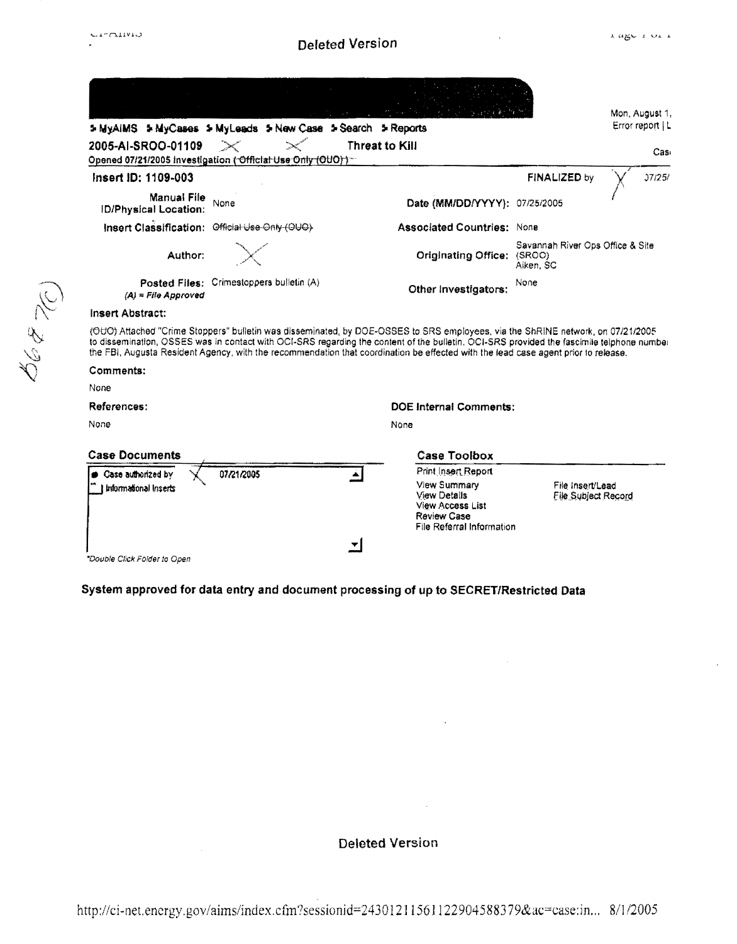1968 W

## **Deleted Version**

 $\bar{\mathbf{x}}$ 

|                                                    | 5 MyAIMS 5 MyCases 5 MyLeads 5 New Case 5 Search 5 Reports |                                                                                                                                                                                                                                                                                                                                                                                                                    |                                               | Error report   L |
|----------------------------------------------------|------------------------------------------------------------|--------------------------------------------------------------------------------------------------------------------------------------------------------------------------------------------------------------------------------------------------------------------------------------------------------------------------------------------------------------------------------------------------------------------|-----------------------------------------------|------------------|
| 2005-AI-SROO-01109                                 | Opened 07/21/2005 Investigation (Official Use Only (OUO))- | Threat to Kill                                                                                                                                                                                                                                                                                                                                                                                                     |                                               | Cas <sub>1</sub> |
| Insert ID: 1109-003                                |                                                            |                                                                                                                                                                                                                                                                                                                                                                                                                    | FINALIZED by                                  | 37/25/           |
| <b>Manual File</b><br><b>ID/Physical Location:</b> | None                                                       | Date (MM/DD/YYYY): 07/25/2005                                                                                                                                                                                                                                                                                                                                                                                      |                                               |                  |
|                                                    | Insert Classification: Official Use Only (OUO)             | <b>Associated Countries: None</b>                                                                                                                                                                                                                                                                                                                                                                                  |                                               |                  |
| Author:                                            |                                                            | Originating Office: (SROO)                                                                                                                                                                                                                                                                                                                                                                                         | Savannah River Ops Office & Site<br>Aiken, SC |                  |
|                                                    |                                                            |                                                                                                                                                                                                                                                                                                                                                                                                                    |                                               |                  |
| $(A)$ = File Approved                              | Posted Files: Crimestoppers bulletin (A)                   | Other Investigators:                                                                                                                                                                                                                                                                                                                                                                                               | None                                          |                  |
| <b>Insert Abstract:</b>                            |                                                            |                                                                                                                                                                                                                                                                                                                                                                                                                    |                                               |                  |
|                                                    |                                                            | (OUO) Attached "Crime Stoppers" bulletin was disseminated, by DOE-OSSES to SRS employees, via the ShRINE network, on 07/21/2005<br>to dissemination, OSSES was in contact with OCI-SRS regarding the content of the bulletin. OCI-SRS provided the fascimile telphone number<br>the FBI, Augusta Resident Agency, with the recommendation that coordination be effected with the lead case agent prior to release. |                                               |                  |
| Comments:                                          |                                                            |                                                                                                                                                                                                                                                                                                                                                                                                                    |                                               |                  |
| None                                               |                                                            |                                                                                                                                                                                                                                                                                                                                                                                                                    |                                               |                  |
| References:                                        |                                                            | <b>DOE Internal Comments:</b>                                                                                                                                                                                                                                                                                                                                                                                      |                                               |                  |
| None                                               |                                                            | None                                                                                                                                                                                                                                                                                                                                                                                                               |                                               |                  |
| <b>Case Documents</b>                              |                                                            | <b>Case Toolbox</b>                                                                                                                                                                                                                                                                                                                                                                                                |                                               |                  |

### System approved for data entry and document processing of up to SECRET/Restricted Data

**Deleted Version** 

 $\hat{\mathcal{A}}$ 

 $\mathcal{L}_{\mathcal{L}}$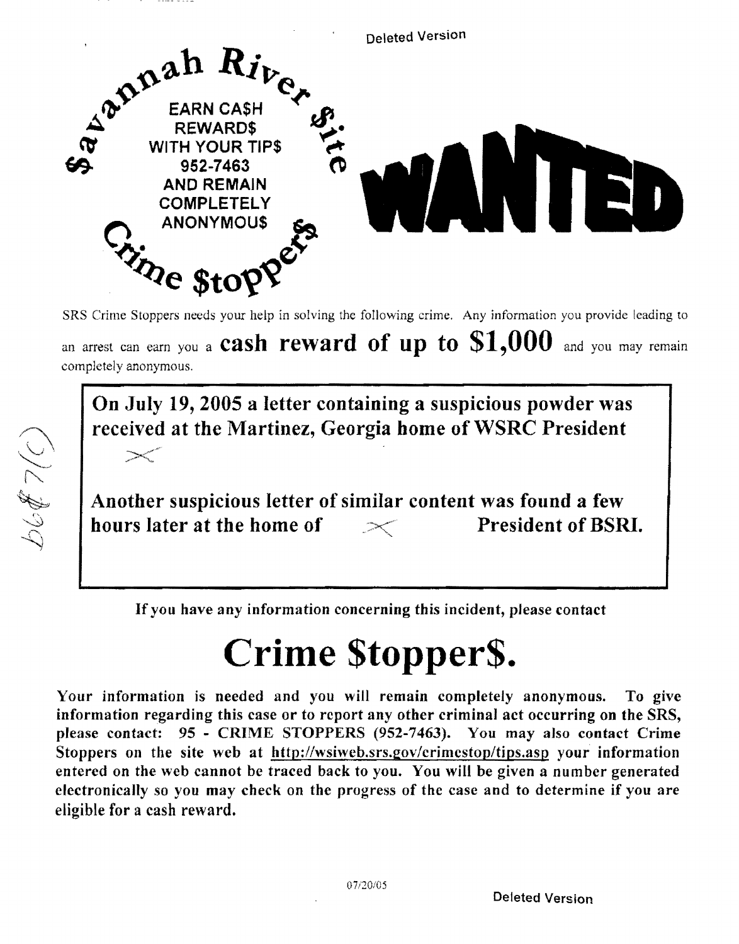

SRS Crime Stoppers needs your help in solving the following crime. Any information you provide leading to

an arrest can earn you a cash reward of up to  $$1,000$  and you may remain completely anonymous.

On July 19, 2005 a letter containing a suspicious powder was received at the Martinez, Georgia home of WSRC President **Contract Contract Contract Contract Contract Contract Contract Contract Contract Contract Contract Contract Contract Contract Contract Contract Contract Contract Contract Contract Contract Contract Contract Contract Contr** 

Another suspicious letter of similar content was found a few hours later at the home of  $\sim$  President of BSRI.

00\$ 7(C)

Ifyou have any information concerning this incident, please contact

# Crime \$topper\$.

Your information is needed and you will remain completely anonymous. To give information regarding this case or to report any other criminal act occurring on the SRS, please contact: 95 - CRIME STOPPERS (952-7463). You may also contact Crime Stoppers on the site web at http://wsiweb.srs.gov/crimcstop/tips.asp your information entered on the web cannot be traced back to you. You will be given a number generated electronically so you may check on the progress of the case and to determine if you are eligible for a cash reward.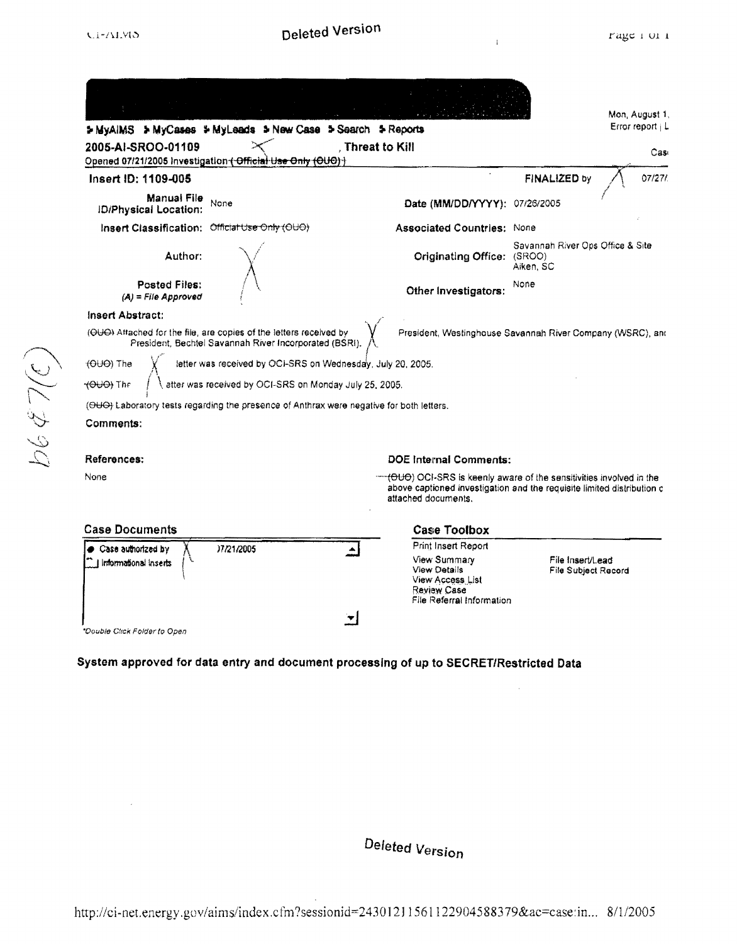0/65399

 $\mathbf{I}$ 

|                                                            | > MyAIMS > MyCases > MyLeads > New Case > Search > Reports                                                                                                                                                                                                                                                                                        |                                                                                                                                                                             |                                               | Mon, August 1,<br>Error report   L |
|------------------------------------------------------------|---------------------------------------------------------------------------------------------------------------------------------------------------------------------------------------------------------------------------------------------------------------------------------------------------------------------------------------------------|-----------------------------------------------------------------------------------------------------------------------------------------------------------------------------|-----------------------------------------------|------------------------------------|
| 2005-AI-SROO-01109                                         | Opened 07/21/2005 Investigation (Official Use Only (OUO) )                                                                                                                                                                                                                                                                                        | , Threat to Kill                                                                                                                                                            |                                               | Cas                                |
| Insert ID: 1109-005                                        |                                                                                                                                                                                                                                                                                                                                                   |                                                                                                                                                                             | FINALIZED by                                  | 07/27/                             |
| Manual File<br><b>ID/Physical Location:</b>                | None                                                                                                                                                                                                                                                                                                                                              | Date (MM/DD/YYYY): 07/26/2005                                                                                                                                               |                                               |                                    |
| Insert Classification: Official Use Only (OUO)             |                                                                                                                                                                                                                                                                                                                                                   | <b>Associated Countries: None</b>                                                                                                                                           |                                               |                                    |
| Author:                                                    |                                                                                                                                                                                                                                                                                                                                                   | Originating Office: (SROO)                                                                                                                                                  | Savannah River Ops Office & Site<br>Aiken, SC |                                    |
| Posted Files:<br>(A) = File Approved                       |                                                                                                                                                                                                                                                                                                                                                   | Other Investigators:                                                                                                                                                        | None                                          |                                    |
| <del>(OUO</del> ) The<br><del>√OUO)</del> The<br>Comments: | (OUO) Attached for the file, are copies of the letters received by<br>President, Bechtel Savannah River Incorporated (BSRI).<br>letter was received by OCI-SRS on Wednesday, July 20, 2005.<br>atter was received by OCI-SRS on Monday July 25, 2005.<br>(OUO) Laboratory tests regarding the presence of Anthrax were negative for both letters. | President, Westinghouse Savannah River Company (WSRC), and                                                                                                                  |                                               |                                    |
| References:                                                |                                                                                                                                                                                                                                                                                                                                                   | DOE Internal Comments:                                                                                                                                                      |                                               |                                    |
| None                                                       |                                                                                                                                                                                                                                                                                                                                                   | <b>-(OUO)</b> OCI-SRS is keenly aware of the sensitivities involved in the<br>above captioned investigation and the requisite limited distribution c<br>attached documents. |                                               |                                    |
| <b>Case Documents</b>                                      |                                                                                                                                                                                                                                                                                                                                                   | <b>Case Toolbox</b>                                                                                                                                                         |                                               |                                    |
| Case authorized by                                         | )7/21/2005                                                                                                                                                                                                                                                                                                                                        | Print Insert Report                                                                                                                                                         |                                               |                                    |
| Informational Inserts                                      |                                                                                                                                                                                                                                                                                                                                                   | View Summary<br><b>View Details</b><br>View Access List<br>Review Case<br>File Referral Information                                                                         | File Insert/Lead<br>File Subject Record       |                                    |
|                                                            |                                                                                                                                                                                                                                                                                                                                                   |                                                                                                                                                                             |                                               |                                    |
| *Double Click Folder to Open                               |                                                                                                                                                                                                                                                                                                                                                   |                                                                                                                                                                             |                                               |                                    |

System approved for data entry and document processing of up to SECRET/Restricted Data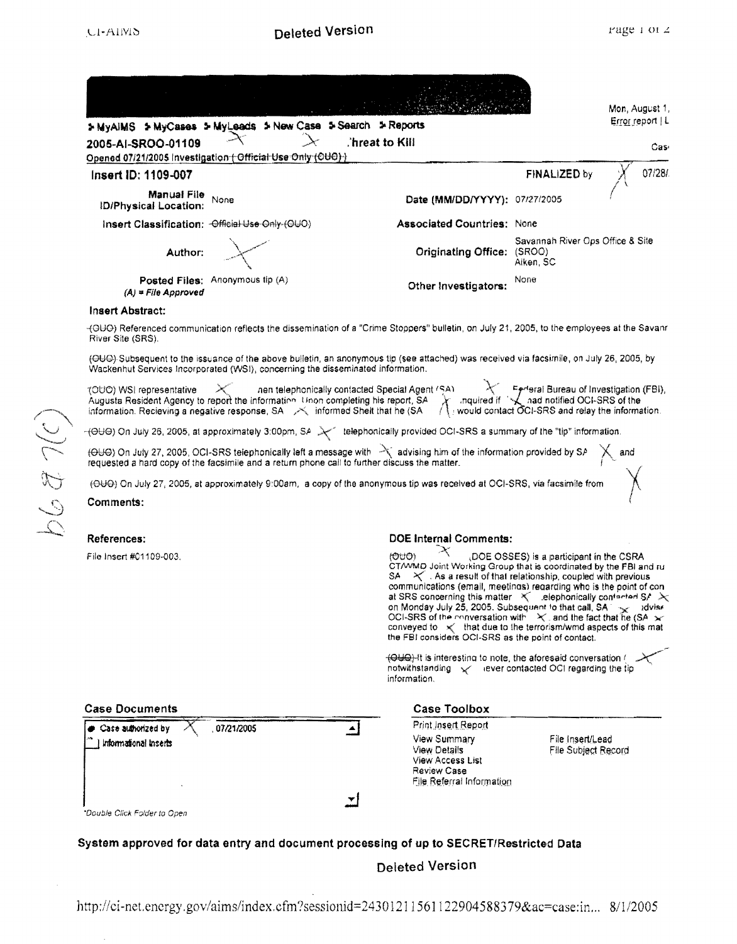|                                             |                                                                                 |                                                                                                                                                                                                                                                                                                                                                                                            |                                               | Mon, August 1,   |
|---------------------------------------------|---------------------------------------------------------------------------------|--------------------------------------------------------------------------------------------------------------------------------------------------------------------------------------------------------------------------------------------------------------------------------------------------------------------------------------------------------------------------------------------|-----------------------------------------------|------------------|
|                                             | > MyAIMS > MyCases > MyLeads > New Case > Search > Reports                      |                                                                                                                                                                                                                                                                                                                                                                                            |                                               | Error report   L |
| 2005-AI-SROO-01109                          | Opened 07/21/2005 Investigation (Official Use Only (OUO) )                      | .'hreat to Kill                                                                                                                                                                                                                                                                                                                                                                            |                                               | Cas∘             |
| Insert ID: 1109-007                         |                                                                                 |                                                                                                                                                                                                                                                                                                                                                                                            | FINALIZED by                                  | 07/28/           |
| Manual File<br><b>ID/Physical Location:</b> | None                                                                            | Date (MM/DD/YYYY): 07/27/2005                                                                                                                                                                                                                                                                                                                                                              |                                               |                  |
|                                             | Insert Classification: - Official Use-Only-(OUO)                                | <b>Associated Countries: None</b>                                                                                                                                                                                                                                                                                                                                                          |                                               |                  |
| Author:                                     |                                                                                 | Originating Office: (SROO)                                                                                                                                                                                                                                                                                                                                                                 | Savannah River Ops Office & Site<br>Aiken, SC |                  |
| $(A)$ = File Approved                       | Posted Files: Anonymous tip (A)                                                 | Other Investigators:                                                                                                                                                                                                                                                                                                                                                                       | None                                          |                  |
| <b>Insert Abstract:</b>                     |                                                                                 |                                                                                                                                                                                                                                                                                                                                                                                            |                                               |                  |
| River Site (SRS).                           |                                                                                 | -(OUO) Referenced communication reflects the dissemination of a "Crime Stoppers" bulletin, on July 21, 2005, to the employees at the Savanr                                                                                                                                                                                                                                                |                                               |                  |
|                                             | Wackenhut Services Incorporated (WSI), concerning the disseminated information. | (OUO) Subsequent to the issuance of the above bulletin, an anonymous tip (see attached) was received via facsimile, on July 26, 2005, by                                                                                                                                                                                                                                                   |                                               |                  |
|                                             |                                                                                 | TOUO) WSI representative<br>Augusta Resident Agency to report the information Unon completing his report, SA Augusta Texteral Bureau of Investigation (FBI),<br>Information. Recieving a negative response, SA Auformed Shelt that                                                                                                                                                         |                                               |                  |
|                                             |                                                                                 | -(OUO) On July 26, 2005, at approximately 3:00pm, SA > lelephonically provided OCI-SRS a summary of the "tip" information.                                                                                                                                                                                                                                                                 |                                               |                  |
|                                             |                                                                                 | (OUO) On July 27, 2005, OCI-SRS telephonically left a message with $\frac{1}{2}$ advising him of the information provided by SA $\chi$ and requested a hard copy of the facsimile and a return phone call to further discuss the ma                                                                                                                                                        |                                               |                  |
|                                             |                                                                                 | (OUO) On July 27, 2005, at approximately 9:00am, a copy of the anonymous tip was received at OCI-SRS, via facsimile from                                                                                                                                                                                                                                                                   |                                               |                  |
| Comments:                                   |                                                                                 |                                                                                                                                                                                                                                                                                                                                                                                            |                                               |                  |
| References:                                 |                                                                                 | <b>DOE Internal Comments:</b>                                                                                                                                                                                                                                                                                                                                                              |                                               |                  |
| File Insert #01109-003.                     |                                                                                 | (OUO)<br>CT/WMD Joint Working Group that is coordinated by the FBI and rul<br>$\times$ . As a result of that relationship, coupled with previous<br>SA –<br>communications (email, meetings) regarding who is the point of con-<br>at SRS concerning this matter $\mathcal{R}$ elephonically contented SA $\mathcal{R}$<br>on Monday July 25, 2005. Subsequent to that call, SA and advise | (DOE OSSES) is a participant in the CSRA      |                  |
|                                             |                                                                                 | OCI-SRS of the conversation with $X$ , and the fact that he (SA $\times$<br>conveyed to $\prec$ that due to the terrorism/wmd aspects of this mat<br>the FBI considers OCI-SRS as the point of contact.                                                                                                                                                                                    |                                               |                  |
|                                             |                                                                                 | $\overline{(\Theta \cup \Theta)}$ -It is interesting to note, the aforesaid conversation (<br>notwithstanding v rever contacted OCI regarding the tip<br>information.                                                                                                                                                                                                                      |                                               |                  |
| <b>Case Documents</b>                       |                                                                                 | <b>Case Toolbox</b>                                                                                                                                                                                                                                                                                                                                                                        |                                               |                  |
| Case authorized by<br>Informational Inserts | 07/21/2005                                                                      | <b>Print Insert Report</b><br>View Summary<br><b>View Details</b><br><b>View Access List</b><br>Review Case<br>File Referral Information                                                                                                                                                                                                                                                   | File Insert/Lead<br>File Subject Record       |                  |
| *Double Click Folder to Open                |                                                                                 |                                                                                                                                                                                                                                                                                                                                                                                            |                                               |                  |
|                                             |                                                                                 | System approved for data entry and document processing of up to SECRET/Restricted Data                                                                                                                                                                                                                                                                                                     |                                               |                  |

http://ci-net.energy.gov/aims/index.cfm?sessionid=24301211561122904588379&ac=case:in... 8/1/2005

(2) Le 99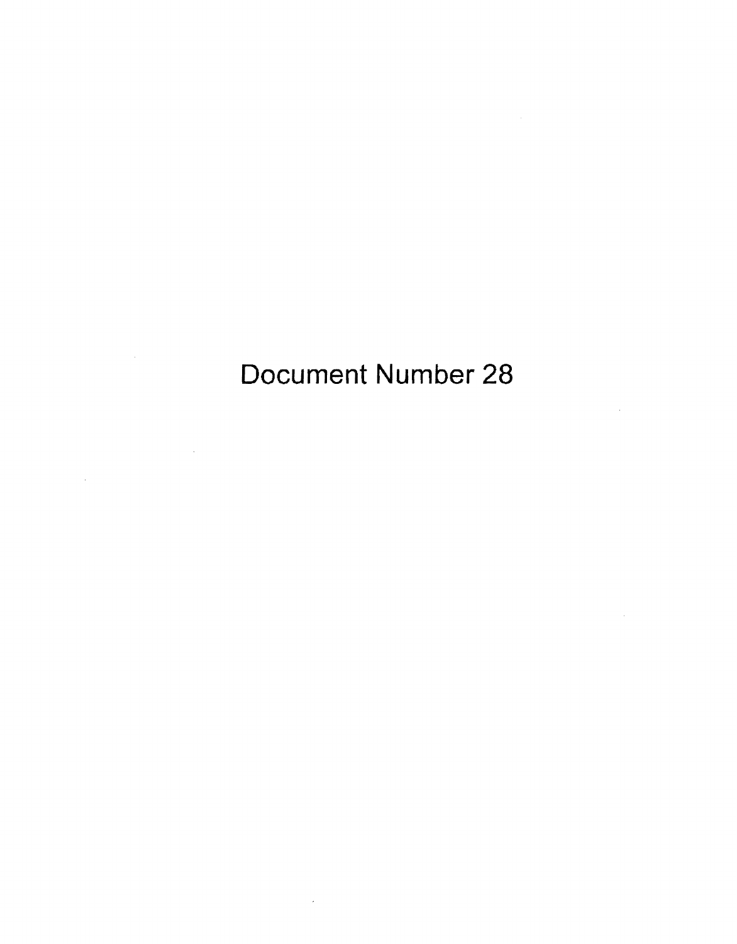Document Number 28

 $\bar{\mathcal{A}}$ 

 $\sim 10$ 

 $\mathcal{A}$ 

 $\label{eq:1} \frac{1}{2} \sum_{i=1}^n \frac{1}{2} \sum_{j=1}^n \frac{1}{2} \sum_{j=1}^n \frac{1}{2} \sum_{j=1}^n \frac{1}{2} \sum_{j=1}^n \frac{1}{2} \sum_{j=1}^n \frac{1}{2} \sum_{j=1}^n \frac{1}{2} \sum_{j=1}^n \frac{1}{2} \sum_{j=1}^n \frac{1}{2} \sum_{j=1}^n \frac{1}{2} \sum_{j=1}^n \frac{1}{2} \sum_{j=1}^n \frac{1}{2} \sum_{j=1}^n \frac{1}{$ 

 $\label{eq:2.1} \mathcal{L}(\mathcal{L}^{\text{max}}_{\mathcal{L}}(\mathcal{L}^{\text{max}}_{\mathcal{L}}))\leq \mathcal{L}(\mathcal{L}^{\text{max}}_{\mathcal{L}}(\mathcal{L}^{\text{max}}_{\mathcal{L}}))$ 

 $\sim$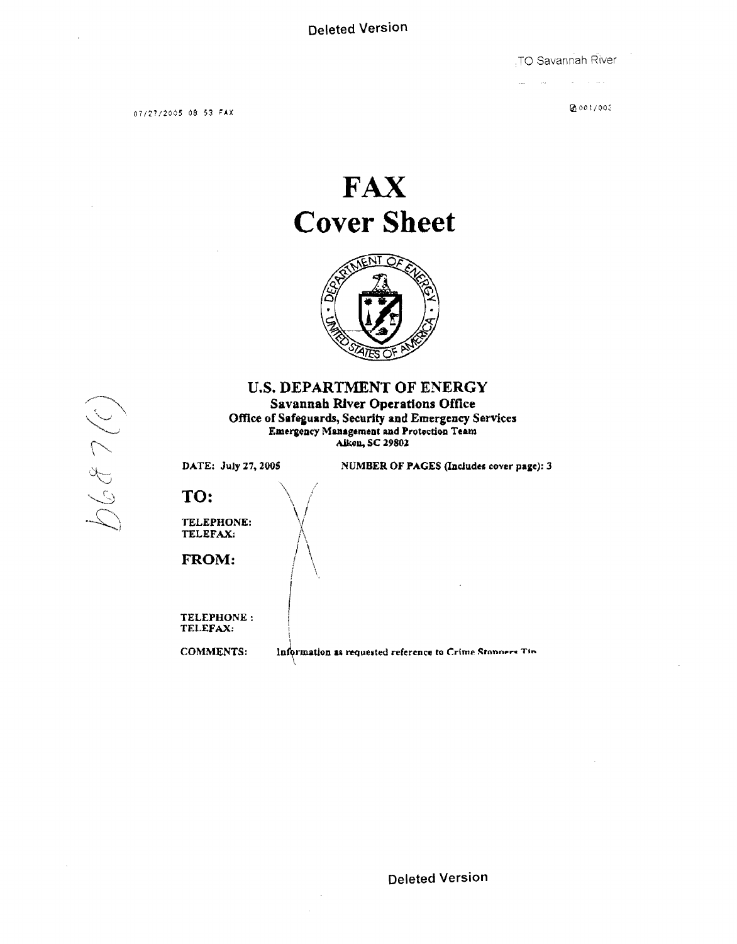TO Savannah River

07/27/2005 08 53 FAX

 $0.001/000$ 

 $\sim 100$ 

# **FAX Cover Sheet**



### **U.S. DEPARTMENT OF ENERGY Savannah River Operations Office** Office of Safeguards, Security and Emergency Services Emergency Management and Protection Team Aiken, SC 29802

DATE: July 27, 2005

NUMBER OF PAGES (Includes cover page): 3

## TO:

 $6687(0)$ 

TELEPHONE: TELEFAX:

FROM:

TELEPHONE: TELEFAX:

**COMMENTS:** 

Information as requested reference to Crime Stonners Tin